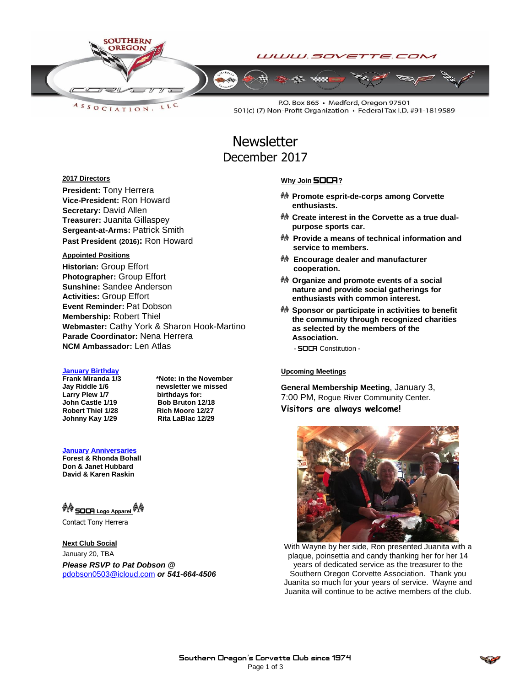

LLC  $A S S O C IAT I O N$ 

P.O. Box 865 · Medford, Oregon 97501 501(c) (7) Non-Profit Organization • Federal Tax I.D. #91-1819589

### **Newsletter** December 2017

### **2017 Directors**

**President:** Tony Herrera **Vice-President:** Ron Howard **Secretary:** David Allen **Treasurer:** Juanita Gillaspey **Sergeant-at-Arms:** Patrick Smith **Past President (2016):** Ron Howard

### **Appointed Positions**

**Historian:** Group Effort **Photographer:** Group Effort **Sunshine:** Sandee Anderson **Activities:** Group Effort **Event Reminder:** Pat Dobson **Membership:** Robert Thiel **Webmaster:** Cathy York & Sharon Hook-Martino **Parade Coordinator:** Nena Herrera **NCM Ambassador:** Len Atlas

## **January Birthday**

**Larry Plew 1/7**<br>**John Castle 1/19 Robert Thiel 1/28 Rich Moore 12/27 Johnny Kay 1/29 Rita LaBlac 12/29**

**Frank Miranda 1/3 \*Note: in the November hemsletter** we missed<br>birthdays for: **John Castle 1/19 Bob Bruton 12/18**

**January Anniversaries Forest & Rhonda Bohall Don & Janet Hubbard David & Karen Raskin**

 **SOCA Logo Apparel** 

Contact Tony Herrera

**Next Club Social** January 20, TBA *Please RSVP to Pat Dobson @*  [pdobson0503@icloud.com](mailto:pdobson0503@icloud.com) *or 541-664-4506*

### **Why Join SOCA?**

- **Promote esprit-de-corps among Corvette enthusiasts.**
- **Create interest in the Corvette as a true dualpurpose sports car.**
- **Provide a means of technical information and service to members.**
- **Encourage dealer and manufacturer cooperation.**
- **Organize and promote events of a social nature and provide social gatherings for enthusiasts with common interest.**
- **Sponsor or participate in activities to benefit the community through recognized charities as selected by the members of the Association.**
	- **SOCA** Constitution -

#### **Upcoming Meetings**

**General Membership Meeting**, January 3, 7:00 PM, Rogue River Community Center. **Visitors are always welcome!**



With Wayne by her side, Ron presented Juanita with a plaque, poinsettia and candy thanking her for her 14 years of dedicated service as the treasurer to the Southern Oregon Corvette Association. Thank you Juanita so much for your years of service. Wayne and Juanita will continue to be active members of the club.

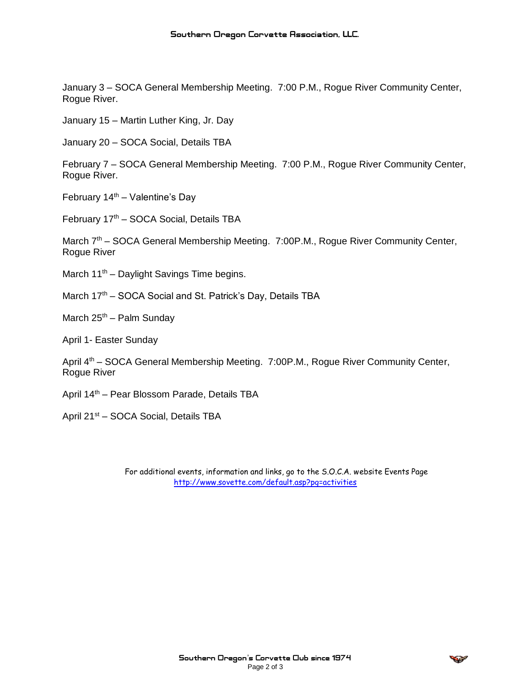January 3 – SOCA General Membership Meeting. 7:00 P.M., Rogue River Community Center, Rogue River.

January 15 – Martin Luther King, Jr. Day

January 20 – SOCA Social, Details TBA

February 7 – SOCA General Membership Meeting. 7:00 P.M., Rogue River Community Center, Rogue River.

February  $14<sup>th</sup> -$  Valentine's Day

February 17<sup>th</sup> – SOCA Social, Details TBA

March 7<sup>th</sup> – SOCA General Membership Meeting. 7:00P.M., Rogue River Community Center, Rogue River

March 11<sup>th</sup> – Daylight Savings Time begins.

March 17<sup>th</sup> – SOCA Social and St. Patrick's Day, Details TBA

March  $25<sup>th</sup>$  – Palm Sunday

April 1- Easter Sunday

April 4th – SOCA General Membership Meeting. 7:00P.M., Rogue River Community Center, Rogue River

April 14th – Pear Blossom Parade, Details TBA

April 21<sup>st</sup> – SOCA Social, Details TBA

For additional events, information and links, go to the S.O.C.A. website Events Page <http://www.sovette.com/default.asp?pg=activities>